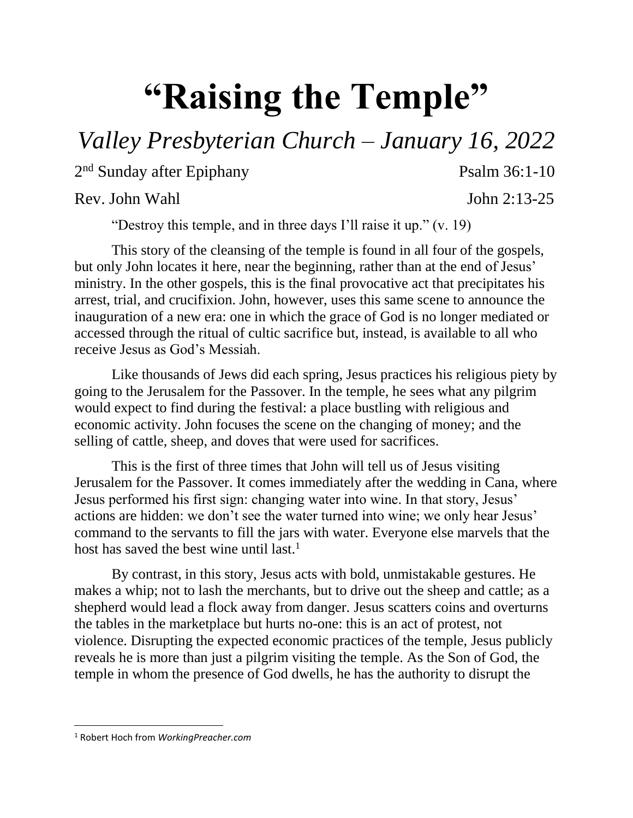## **"Raising the Temple"**

## *Valley Presbyterian Church – January 16, 2022*

2<sup>nd</sup> Sunday after Epiphany Psalm 36:1-10

Rev. John Wahl John 2:13-25

"Destroy this temple, and in three days I'll raise it up." (v. 19)

This story of the cleansing of the temple is found in all four of the gospels, but only John locates it here, near the beginning, rather than at the end of Jesus' ministry. In the other gospels, this is the final provocative act that precipitates his arrest, trial, and crucifixion. John, however, uses this same scene to announce the inauguration of a new era: one in which the grace of God is no longer mediated or accessed through the ritual of cultic sacrifice but, instead, is available to all who receive Jesus as God's Messiah.

Like thousands of Jews did each spring, Jesus practices his religious piety by going to the Jerusalem for the Passover. In the temple, he sees what any pilgrim would expect to find during the festival: a place bustling with religious and economic activity. John focuses the scene on the changing of money; and the selling of cattle, sheep, and doves that were used for sacrifices.

This is the first of three times that John will tell us of Jesus visiting Jerusalem for the Passover. It comes immediately after the wedding in Cana, where Jesus performed his first sign: changing water into wine. In that story, Jesus' actions are hidden: we don't see the water turned into wine; we only hear Jesus' command to the servants to fill the jars with water. Everyone else marvels that the host has saved the best wine until last.<sup>1</sup>

By contrast, in this story, Jesus acts with bold, unmistakable gestures. He makes a whip; not to lash the merchants, but to drive out the sheep and cattle; as a shepherd would lead a flock away from danger. Jesus scatters coins and overturns the tables in the marketplace but hurts no-one: this is an act of protest, not violence. Disrupting the expected economic practices of the temple, Jesus publicly reveals he is more than just a pilgrim visiting the temple. As the Son of God, the temple in whom the presence of God dwells, he has the authority to disrupt the

 $\overline{\phantom{a}}$ 

<sup>1</sup> Robert Hoch from *WorkingPreacher.com*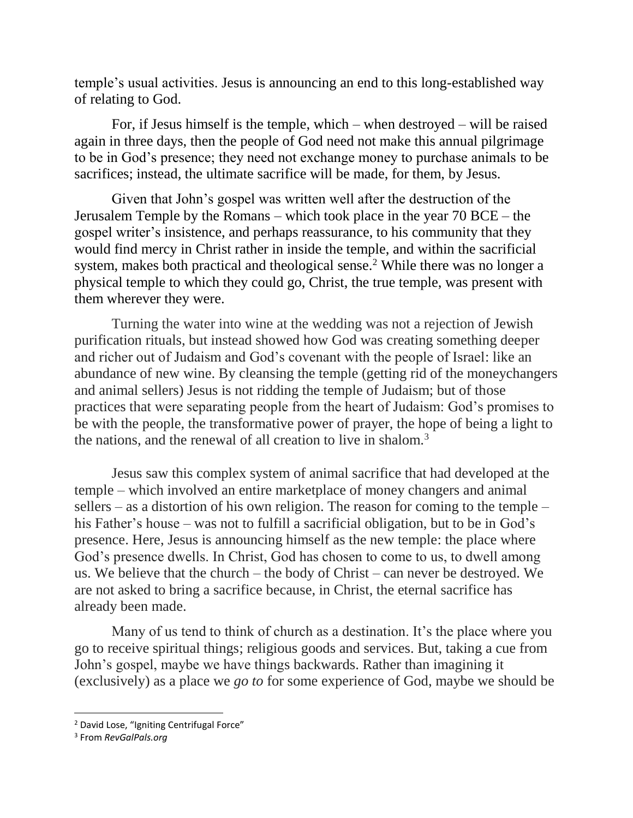temple's usual activities. Jesus is announcing an end to this long-established way of relating to God.

For, if Jesus himself is the temple, which – when destroyed – will be raised again in three days, then the people of God need not make this annual pilgrimage to be in God's presence; they need not exchange money to purchase animals to be sacrifices; instead, the ultimate sacrifice will be made, for them, by Jesus.

Given that John's gospel was written well after the destruction of the Jerusalem Temple by the Romans – which took place in the year 70 BCE – the gospel writer's insistence, and perhaps reassurance, to his community that they would find mercy in Christ rather in inside the temple, and within the sacrificial system, makes both practical and theological sense.<sup>2</sup> While there was no longer a physical temple to which they could go, Christ, the true temple, was present with them wherever they were.

Turning the water into wine at the wedding was not a rejection of Jewish purification rituals, but instead showed how God was creating something deeper and richer out of Judaism and God's covenant with the people of Israel: like an abundance of new wine. By cleansing the temple (getting rid of the moneychangers and animal sellers) Jesus is not ridding the temple of Judaism; but of those practices that were separating people from the heart of Judaism: God's promises to be with the people, the transformative power of prayer, the hope of being a light to the nations, and the renewal of all creation to live in shalom.<sup>3</sup>

Jesus saw this complex system of animal sacrifice that had developed at the temple – which involved an entire marketplace of money changers and animal sellers – as a distortion of his own religion. The reason for coming to the temple – his Father's house – was not to fulfill a sacrificial obligation, but to be in God's presence. Here, Jesus is announcing himself as the new temple: the place where God's presence dwells. In Christ, God has chosen to come to us, to dwell among us. We believe that the church – the body of Christ – can never be destroyed. We are not asked to bring a sacrifice because, in Christ, the eternal sacrifice has already been made.

Many of us tend to think of church as a destination. It's the place where you go to receive spiritual things; religious goods and services. But, taking a cue from John's gospel, maybe we have things backwards. Rather than imagining it (exclusively) as a place we *go to* for some experience of God, maybe we should be

l

<sup>&</sup>lt;sup>2</sup> David Lose, "Igniting Centrifugal Force"

<sup>3</sup> From *RevGalPals.org*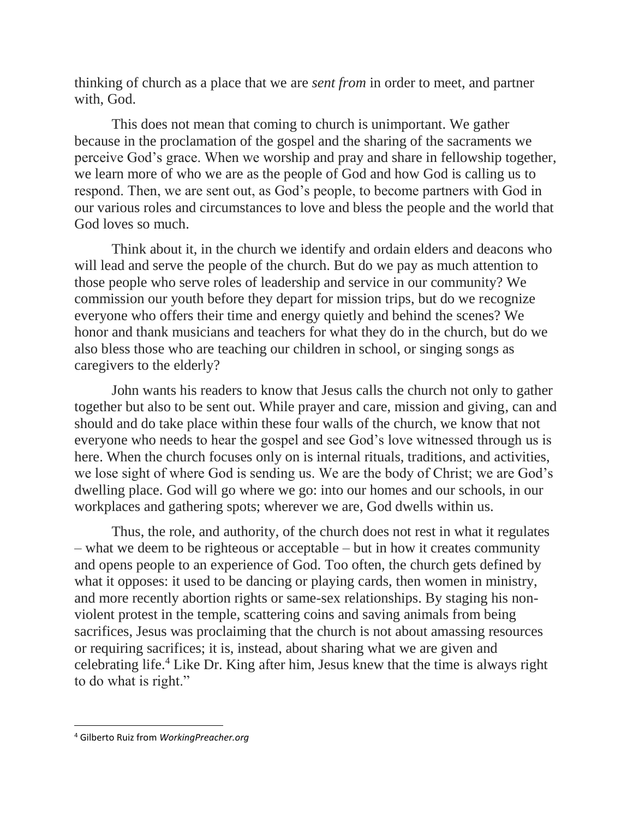thinking of church as a place that we are *sent from* in order to meet, and partner with, God.

This does not mean that coming to church is unimportant. We gather because in the proclamation of the gospel and the sharing of the sacraments we perceive God's grace. When we worship and pray and share in fellowship together, we learn more of who we are as the people of God and how God is calling us to respond. Then, we are sent out, as God's people, to become partners with God in our various roles and circumstances to love and bless the people and the world that God loves so much.

Think about it, in the church we identify and ordain elders and deacons who will lead and serve the people of the church. But do we pay as much attention to those people who serve roles of leadership and service in our community? We commission our youth before they depart for mission trips, but do we recognize everyone who offers their time and energy quietly and behind the scenes? We honor and thank musicians and teachers for what they do in the church, but do we also bless those who are teaching our children in school, or singing songs as caregivers to the elderly?

John wants his readers to know that Jesus calls the church not only to gather together but also to be sent out. While prayer and care, mission and giving, can and should and do take place within these four walls of the church, we know that not everyone who needs to hear the gospel and see God's love witnessed through us is here. When the church focuses only on is internal rituals, traditions, and activities, we lose sight of where God is sending us. We are the body of Christ; we are God's dwelling place. God will go where we go: into our homes and our schools, in our workplaces and gathering spots; wherever we are, God dwells within us.

Thus, the role, and authority, of the church does not rest in what it regulates – what we deem to be righteous or acceptable – but in how it creates community and opens people to an experience of God. Too often, the church gets defined by what it opposes: it used to be dancing or playing cards, then women in ministry, and more recently abortion rights or same-sex relationships. By staging his nonviolent protest in the temple, scattering coins and saving animals from being sacrifices, Jesus was proclaiming that the church is not about amassing resources or requiring sacrifices; it is, instead, about sharing what we are given and celebrating life.<sup>4</sup> Like Dr. King after him, Jesus knew that the time is always right to do what is right."

 $\overline{\phantom{a}}$ 

<sup>4</sup> Gilberto Ruiz from *WorkingPreacher.org*